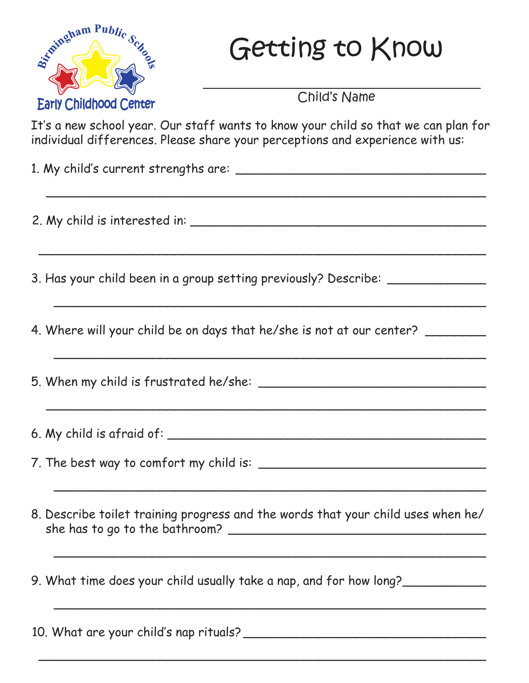

## Getting to Know

Child's Name

It's a new school year. Our staff wants to know your child so that we can plan for individual differences. Please share your perceptions and experience with us:

\_\_\_\_\_\_\_\_\_\_\_\_\_\_\_\_\_\_\_\_\_\_\_\_\_\_\_\_\_\_\_\_\_\_\_\_\_\_\_\_\_\_\_\_\_\_\_\_\_\_\_\_\_\_\_\_\_\_

 $\overline{a}$  , and the set of the set of the set of the set of the set of the set of the set of the set of the set of the set of the set of the set of the set of the set of the set of the set of the set of the set of the set

\_\_\_\_\_\_\_\_\_\_\_\_\_\_\_\_\_\_\_\_\_\_\_\_\_\_\_\_\_\_\_\_\_\_\_\_\_\_\_\_\_\_\_\_\_\_\_\_\_\_\_\_\_\_\_\_\_

\_\_\_\_\_\_\_\_\_\_\_\_\_\_\_\_\_\_\_\_\_\_\_\_\_\_\_\_\_\_\_\_\_\_\_\_\_\_\_\_\_\_\_\_\_\_\_\_\_\_\_\_\_\_\_\_\_

\_\_\_\_\_\_\_\_\_\_\_\_\_\_\_\_\_\_\_\_\_\_\_\_\_\_\_\_\_\_\_\_\_\_\_\_\_\_\_\_\_\_\_\_\_\_\_\_\_\_\_\_\_\_\_\_\_\_

1. My child's current strengths are:

2. My child is interested in: \_\_\_\_\_\_\_\_\_\_\_\_\_\_\_\_\_\_\_\_\_\_\_\_\_\_\_\_\_\_\_\_\_\_\_\_\_\_\_

3. Has your child been in a group setting previously? Describe:

4. Where will your child be on days that he/she is not at our center?

5. When my child is frustrated he/she: \_\_\_\_\_\_\_\_\_\_\_\_\_\_\_\_\_\_\_\_\_\_\_\_\_\_\_\_\_\_

6. My child is afraid of: \_\_\_\_\_\_\_\_\_\_\_\_\_\_\_\_\_\_\_\_\_\_\_\_\_\_\_\_\_\_\_\_\_\_\_\_\_\_\_\_\_\_

7. The best way to comfort my child is: \_\_\_\_\_\_\_\_\_\_\_\_\_\_\_\_\_\_\_\_\_\_\_\_\_\_\_\_\_\_

8. Describe toilet training progress and the words that your child uses when he/ she has to go to the bathroom? \_\_\_\_\_\_\_\_\_\_\_\_\_\_\_\_\_\_\_\_\_\_\_\_\_\_\_\_\_\_\_\_\_\_

\_\_\_\_\_\_\_\_\_\_\_\_\_\_\_\_\_\_\_\_\_\_\_\_\_\_\_\_\_\_\_\_\_\_\_\_\_\_\_\_\_\_\_\_\_\_\_\_\_\_\_\_\_\_\_\_\_

\_\_\_\_\_\_\_\_\_\_\_\_\_\_\_\_\_\_\_\_\_\_\_\_\_\_\_\_\_\_\_\_\_\_\_\_\_\_\_\_\_\_\_\_\_\_\_\_\_\_\_\_\_\_\_\_\_

\_\_\_\_\_\_\_\_\_\_\_\_\_\_\_\_\_\_\_\_\_\_\_\_\_\_\_\_\_\_\_\_\_\_\_\_\_\_\_\_\_\_\_\_\_\_\_\_\_\_\_\_\_\_\_\_\_

\_\_\_\_\_\_\_\_\_\_\_\_\_\_\_\_\_\_\_\_\_\_\_\_\_\_\_\_\_\_\_\_\_\_\_\_\_\_\_\_\_\_\_\_\_\_\_\_\_\_\_\_\_\_\_\_\_\_\_

9. What time does your child usually take a nap, and for how long?

10. What are your child's nap rituals? \_\_\_\_\_\_\_\_\_\_\_\_\_\_\_\_\_\_\_\_\_\_\_\_\_\_\_\_\_\_\_\_